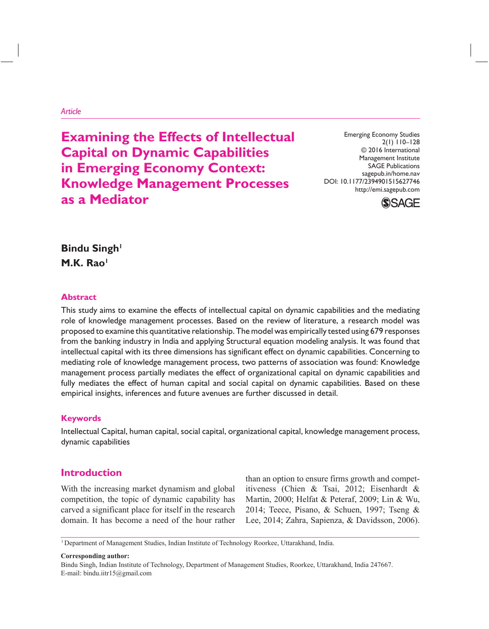#### *Article*

**Examining the Effects of Intellectual Capital on Dynamic Capabilities in Emerging Economy Context: Knowledge Management Processes as a Mediator**

Emerging Economy Studies 2(1) 110–128 © 2016 International Management Institute SAGE Publications sagepub.in/home.nav DOI: 10.1177/2394901515627746 http://emi.sagepub.com



# **Bindu Singh<sup>1</sup>** M.K. Rao<sup>1</sup>

#### **Abstract**

This study aims to examine the effects of intellectual capital on dynamic capabilities and the mediating role of knowledge management processes. Based on the review of literature, a research model was proposed to examine this quantitative relationship. The model was empirically tested using 679 responses from the banking industry in India and applying Structural equation modeling analysis. It was found that intellectual capital with its three dimensions has significant effect on dynamic capabilities. Concerning to mediating role of knowledge management process, two patterns of association was found: Knowledge management process partially mediates the effect of organizational capital on dynamic capabilities and fully mediates the effect of human capital and social capital on dynamic capabilities. Based on these empirical insights, inferences and future avenues are further discussed in detail.

#### **Keywords**

Intellectual Capital, human capital, social capital, organizational capital, knowledge management process, dynamic capabilities

# **Introduction**

With the increasing market dynamism and global competition, the topic of dynamic capability has carved a significant place for itself in the research domain. It has become a need of the hour rather

than an option to ensure firms growth and competitiveness (Chien & Tsai, 2012; Eisenhardt & Martin, 2000; Helfat & Peteraf, 2009; Lin & Wu, 2014; Teece, Pisano, & Schuen, 1997; Tseng & Lee, 2014; Zahra, Sapienza, & Davidsson, 2006).

1 Department of Management Studies, Indian Institute of Technology Roorkee, Uttarakhand, India.

**Corresponding author:**

Bindu Singh, Indian Institute of Technology, Department of Management Studies, Roorkee, Uttarakhand, India 247667. E-mail: bindu.iitr15@gmail.com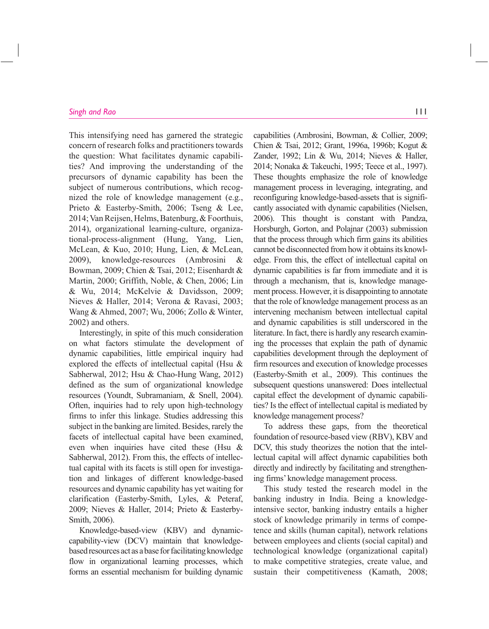This intensifying need has garnered the strategic concern of research folks and practitioners towards the question: What facilitates dynamic capabilities? And improving the understanding of the precursors of dynamic capability has been the subject of numerous contributions, which recognized the role of knowledge management (e.g., Prieto & Easterby-Smith, 2006; Tseng & Lee, 2014; Van Reijsen, Helms, Batenburg, & Foorthuis, 2014), organizational learning-culture, organizational-process-alignment (Hung, Yang, Lien, McLean, & Kuo, 2010; Hung, Lien, & McLean, 2009), knowledge-resources (Ambrosini & Bowman, 2009; Chien & Tsai, 2012; Eisenhardt & Martin, 2000; Griffith, Noble, & Chen, 2006; Lin & Wu, 2014; McKelvie & Davidsson, 2009; Nieves & Haller, 2014; Verona & Ravasi, 2003; Wang & Ahmed, 2007; Wu, 2006; Zollo & Winter, 2002) and others.

Interestingly, in spite of this much consideration on what factors stimulate the development of dynamic capabilities, little empirical inquiry had explored the effects of intellectual capital (Hsu & Sabherwal, 2012; Hsu & Chao-Hung Wang, 2012) defined as the sum of organizational knowledge resources (Youndt, Subramaniam, & Snell, 2004). Often, inquiries had to rely upon high-technology firms to infer this linkage. Studies addressing this subject in the banking are limited. Besides, rarely the facets of intellectual capital have been examined, even when inquiries have cited these (Hsu & Sabherwal, 2012). From this, the effects of intellectual capital with its facets is still open for investigation and linkages of different knowledge-based resources and dynamic capability has yet waiting for clarification (Easterby-Smith, Lyles, & Peteraf, 2009; Nieves & Haller, 2014; Prieto & Easterby-Smith, 2006).

Knowledge-based-view (KBV) and dynamiccapability-view (DCV) maintain that knowledgebased resources act as a base for facilitating knowledge flow in organizational learning processes, which forms an essential mechanism for building dynamic capabilities (Ambrosini, Bowman, & Collier, 2009; Chien & Tsai, 2012; Grant, 1996a, 1996b; Kogut & Zander, 1992; Lin & Wu, 2014; Nieves & Haller, 2014; Nonaka & Takeuchi, 1995; Teece et al., 1997). These thoughts emphasize the role of knowledge management process in leveraging, integrating, and reconfiguring knowledge-based-assets that is significantly associated with dynamic capabilities (Nielsen, 2006). This thought is constant with Pandza, Horsburgh, Gorton, and Polajnar (2003) submission that the process through which firm gains its abilities cannot be disconnected from how it obtains its knowledge. From this, the effect of intellectual capital on dynamic capabilities is far from immediate and it is through a mechanism, that is, knowledge management process. However, it is disappointing to annotate that the role of knowledge management process as an intervening mechanism between intellectual capital and dynamic capabilities is still underscored in the literature. In fact, there is hardly any research examining the processes that explain the path of dynamic capabilities development through the deployment of firm resources and execution of knowledge processes (Easterby-Smith et al., 2009). This continues the subsequent questions unanswered: Does intellectual capital effect the development of dynamic capabilities? Is the effect of intellectual capital is mediated by knowledge management process?

To address these gaps, from the theoretical foundation of resource-based view (RBV), KBV and DCV, this study theorizes the notion that the intellectual capital will affect dynamic capabilities both directly and indirectly by facilitating and strengthening firms' knowledge management process.

This study tested the research model in the banking industry in India. Being a knowledgeintensive sector, banking industry entails a higher stock of knowledge primarily in terms of competence and skills (human capital), network relations between employees and clients (social capital) and technological knowledge (organizational capital) to make competitive strategies, create value, and sustain their competitiveness (Kamath, 2008;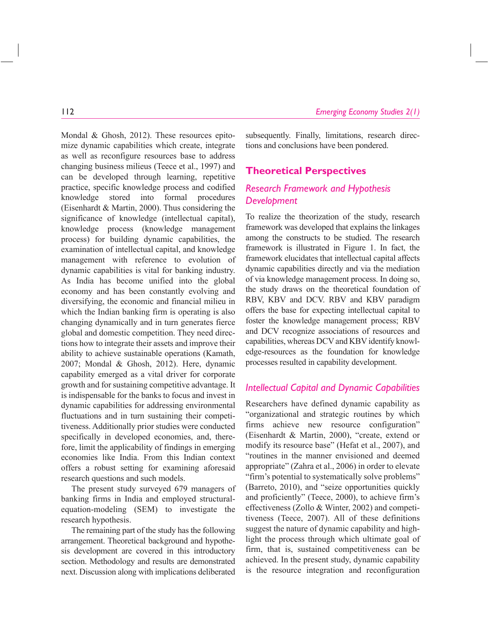Mondal & Ghosh, 2012). These resources epitomize dynamic capabilities which create, integrate as well as reconfigure resources base to address changing business milieus (Teece et al., 1997) and can be developed through learning, repetitive practice, specific knowledge process and codified knowledge stored into formal procedures (Eisenhardt & Martin, 2000). Thus considering the significance of knowledge (intellectual capital), knowledge process (knowledge management process) for building dynamic capabilities, the examination of intellectual capital, and knowledge management with reference to evolution of dynamic capabilities is vital for banking industry. As India has become unified into the global economy and has been constantly evolving and diversifying, the economic and financial milieu in which the Indian banking firm is operating is also changing dynamically and in turn generates fierce global and domestic competition. They need directions how to integrate their assets and improve their ability to achieve sustainable operations (Kamath, 2007; Mondal & Ghosh, 2012). Here, dynamic capability emerged as a vital driver for corporate growth and for sustaining competitive advantage. It is indispensable for the banks to focus and invest in dynamic capabilities for addressing environmental fluctuations and in turn sustaining their competitiveness. Additionally prior studies were conducted specifically in developed economies, and, therefore, limit the applicability of findings in emerging economies like India. From this Indian context offers a robust setting for examining aforesaid research questions and such models.

The present study surveyed 679 managers of banking firms in India and employed structuralequation-modeling (SEM) to investigate the research hypothesis.

The remaining part of the study has the following arrangement. Theoretical background and hypothesis development are covered in this introductory section. Methodology and results are demonstrated next. Discussion along with implications deliberated

subsequently. Finally, limitations, research directions and conclusions have been pondered.

# **Theoretical Perspectives**

# *Research Framework and Hypothesis Development*

To realize the theorization of the study, research framework was developed that explains the linkages among the constructs to be studied. The research framework is illustrated in Figure 1. In fact, the framework elucidates that intellectual capital affects dynamic capabilities directly and via the mediation of via knowledge management process. In doing so, the study draws on the theoretical foundation of RBV, KBV and DCV. RBV and KBV paradigm offers the base for expecting intellectual capital to foster the knowledge management process; RBV and DCV recognize associations of resources and capabilities, whereas DCV and KBV identify knowledge-resources as the foundation for knowledge processes resulted in capability development.

## *Intellectual Capital and Dynamic Capabilities*

Researchers have defined dynamic capability as "organizational and strategic routines by which firms achieve new resource configuration" (Eisenhardt & Martin, 2000), "create, extend or modify its resource base" (Hefat et al., 2007), and "routines in the manner envisioned and deemed appropriate" (Zahra et al., 2006) in order to elevate "firm's potential to systematically solve problems" (Barreto, 2010), and "seize opportunities quickly and proficiently" (Teece, 2000), to achieve firm's effectiveness (Zollo & Winter, 2002) and competitiveness (Teece, 2007). All of these definitions suggest the nature of dynamic capability and highlight the process through which ultimate goal of firm, that is, sustained competitiveness can be achieved. In the present study, dynamic capability is the resource integration and reconfiguration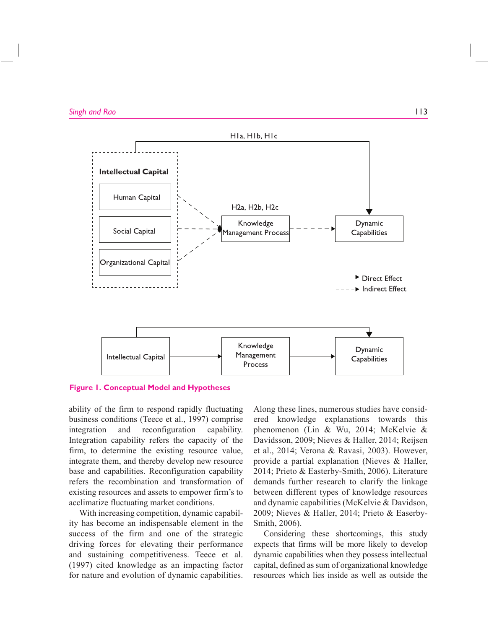

**Figure 1. Conceptual Model and Hypotheses**

ability of the firm to respond rapidly fluctuating business conditions (Teece et al., 1997) comprise integration and reconfiguration capability. Integration capability refers the capacity of the firm, to determine the existing resource value, integrate them, and thereby develop new resource base and capabilities. Reconfiguration capability refers the recombination and transformation of existing resources and assets to empower firm's to acclimatize fluctuating market conditions.

With increasing competition, dynamic capability has become an indispensable element in the success of the firm and one of the strategic driving forces for elevating their performance and sustaining competitiveness. Teece et al. (1997) cited knowledge as an impacting factor for nature and evolution of dynamic capabilities.

Along these lines, numerous studies have considered knowledge explanations towards this phenomenon (Lin & Wu, 2014; McKelvie & Davidsson, 2009; Nieves & Haller, 2014; Reijsen et al., 2014; Verona & Ravasi, 2003). However, provide a partial explanation (Nieves & Haller, 2014; Prieto & Easterby-Smith, 2006). Literature demands further research to clarify the linkage between different types of knowledge resources and dynamic capabilities (McKelvie & Davidson, 2009; Nieves & Haller, 2014; Prieto & Easerby-Smith, 2006).

Considering these shortcomings, this study expects that firms will be more likely to develop dynamic capabilities when they possess intellectual capital, defined as sum of organizational knowledge resources which lies inside as well as outside the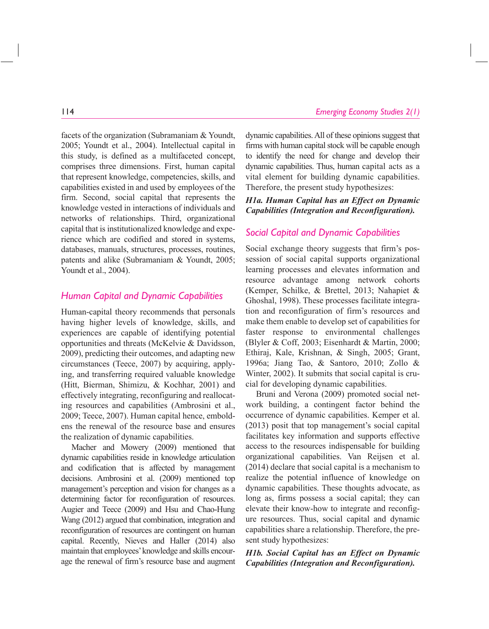facets of the organization (Subramaniam & Youndt, 2005; Youndt et al., 2004). Intellectual capital in this study, is defined as a multifaceted concept, comprises three dimensions. First, human capital that represent knowledge, competencies, skills, and capabilities existed in and used by employees of the firm. Second, social capital that represents the knowledge vested in interactions of individuals and networks of relationships. Third, organizational capital that is institutionalized knowledge and experience which are codified and stored in systems, databases, manuals, structures, processes, routines, patents and alike (Subramaniam & Youndt, 2005; Youndt et al., 2004).

## *Human Capital and Dynamic Capabilities*

Human-capital theory recommends that personals having higher levels of knowledge, skills, and experiences are capable of identifying potential opportunities and threats (McKelvie & Davidsson, 2009), predicting their outcomes, and adapting new circumstances (Teece, 2007) by acquiring, applying, and transferring required valuable knowledge (Hitt, Bierman, Shimizu, & Kochhar, 2001) and effectively integrating, reconfiguring and reallocating resources and capabilities (Ambrosini et al., 2009; Teece, 2007). Human capital hence, emboldens the renewal of the resource base and ensures the realization of dynamic capabilities.

Macher and Mowery (2009) mentioned that dynamic capabilities reside in knowledge articulation and codification that is affected by management decisions. Ambrosini et al. (2009) mentioned top management's perception and vision for changes as a determining factor for reconfiguration of resources. Augier and Teece (2009) and Hsu and Chao-Hung Wang (2012) argued that combination, integration and reconfiguration of resources are contingent on human capital. Recently, Nieves and Haller (2014) also maintain that employees' knowledge and skills encourage the renewal of firm's resource base and augment dynamic capabilities. All of these opinions suggest that firms with human capital stock will be capable enough to identify the need for change and develop their dynamic capabilities. Thus, human capital acts as a vital element for building dynamic capabilities. Therefore, the present study hypothesizes:

## *H1a. Human Capital has an Effect on Dynamic Capabilities (Integration and Reconfiguration).*

## *Social Capital and Dynamic Capabilities*

Social exchange theory suggests that firm's possession of social capital supports organizational learning processes and elevates information and resource advantage among network cohorts (Kemper, Schilke, & Brettel, 2013; Nahapiet & Ghoshal, 1998). These processes facilitate integration and reconfiguration of firm's resources and make them enable to develop set of capabilities for faster response to environmental challenges (Blyler & Coff, 2003; Eisenhardt & Martin, 2000; Ethiraj, Kale, Krishnan, & Singh, 2005; Grant, 1996a; Jiang Tao, & Santoro, 2010; Zollo & Winter, 2002). It submits that social capital is crucial for developing dynamic capabilities.

Bruni and Verona (2009) promoted social network building, a contingent factor behind the occurrence of dynamic capabilities. Kemper et al. (2013) posit that top management's social capital facilitates key information and supports effective access to the resources indispensable for building organizational capabilities. Van Reijsen et al. (2014) declare that social capital is a mechanism to realize the potential influence of knowledge on dynamic capabilities. These thoughts advocate, as long as, firms possess a social capital; they can elevate their know-how to integrate and reconfigure resources. Thus, social capital and dynamic capabilities share a relationship. Therefore, the present study hypothesizes:

*H1b. Social Capital has an Effect on Dynamic Capabilities (Integration and Reconfiguration).*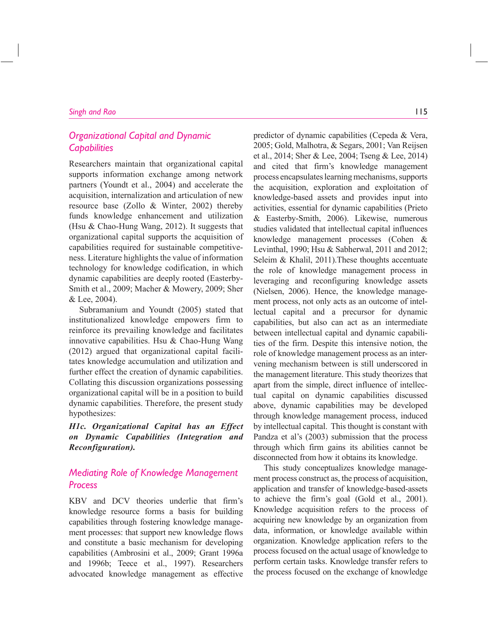# *Organizational Capital and Dynamic Capabilities*

Researchers maintain that organizational capital supports information exchange among network partners (Youndt et al., 2004) and accelerate the acquisition, internalization and articulation of new resource base (Zollo & Winter, 2002) thereby funds knowledge enhancement and utilization (Hsu & Chao-Hung Wang, 2012). It suggests that organizational capital supports the acquisition of capabilities required for sustainable competitiveness. Literature highlights the value of information technology for knowledge codification, in which dynamic capabilities are deeply rooted (Easterby-Smith et al., 2009; Macher & Mowery, 2009; Sher & Lee, 2004).

Subramanium and Youndt (2005) stated that institutionalized knowledge empowers firm to reinforce its prevailing knowledge and facilitates innovative capabilities. Hsu & Chao-Hung Wang (2012) argued that organizational capital facilitates knowledge accumulation and utilization and further effect the creation of dynamic capabilities. Collating this discussion organizations possessing organizational capital will be in a position to build dynamic capabilities. Therefore, the present study hypothesizes:

## *H1c. Organizational Capital has an Effect on Dynamic Capabilities (Integration and Reconfiguration).*

# *Mediating Role of Knowledge Management Process*

KBV and DCV theories underlie that firm's knowledge resource forms a basis for building capabilities through fostering knowledge management processes: that support new knowledge flows and constitute a basic mechanism for developing capabilities (Ambrosini et al., 2009; Grant 1996a and 1996b; Teece et al., 1997). Researchers advocated knowledge management as effective

predictor of dynamic capabilities (Cepeda & Vera, 2005; Gold, Malhotra, & Segars, 2001; Van Reijsen et al., 2014; Sher & Lee, 2004; Tseng & Lee, 2014) and cited that firm's knowledge management process encapsulates learning mechanisms, supports the acquisition, exploration and exploitation of knowledge-based assets and provides input into activities, essential for dynamic capabilities (Prieto & Easterby-Smith, 2006). Likewise, numerous studies validated that intellectual capital influences knowledge management processes (Cohen & Levinthal, 1990; Hsu & Sabherwal, 2011 and 2012; Seleim & Khalil, 2011).These thoughts accentuate the role of knowledge management process in leveraging and reconfiguring knowledge assets (Nielsen, 2006). Hence, the knowledge management process, not only acts as an outcome of intellectual capital and a precursor for dynamic capabilities, but also can act as an intermediate between intellectual capital and dynamic capabilities of the firm. Despite this intensive notion, the role of knowledge management process as an intervening mechanism between is still underscored in the management literature. This study theorizes that apart from the simple, direct influence of intellectual capital on dynamic capabilities discussed above, dynamic capabilities may be developed through knowledge management process, induced by intellectual capital. This thought is constant with Pandza et al's (2003) submission that the process through which firm gains its abilities cannot be disconnected from how it obtains its knowledge.

This study conceptualizes knowledge management process construct as, the process of acquisition, application and transfer of knowledge-based-assets to achieve the firm's goal (Gold et al., 2001). Knowledge acquisition refers to the process of acquiring new knowledge by an organization from data, information, or knowledge available within organization. Knowledge application refers to the process focused on the actual usage of knowledge to perform certain tasks. Knowledge transfer refers to the process focused on the exchange of knowledge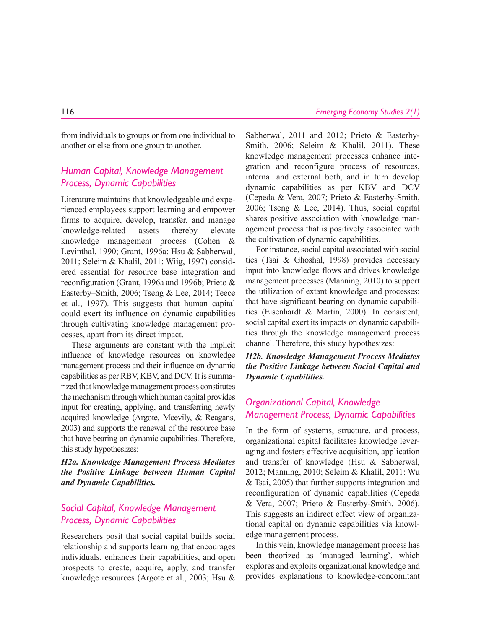from individuals to groups or from one individual to another or else from one group to another.

# *Human Capital, Knowledge Management Process, Dynamic Capabilities*

Literature maintains that knowledgeable and experienced employees support learning and empower firms to acquire, develop, transfer, and manage knowledge-related assets thereby elevate knowledge management process (Cohen & Levinthal, 1990; Grant, 1996a; Hsu & Sabherwal, 2011; Seleim & Khalil, 2011; Wiig, 1997) considered essential for resource base integration and reconfiguration (Grant, 1996a and 1996b; Prieto & Easterby–Smith, 2006; Tseng & Lee, 2014; Teece et al., 1997). This suggests that human capital could exert its influence on dynamic capabilities through cultivating knowledge management processes, apart from its direct impact.

These arguments are constant with the implicit influence of knowledge resources on knowledge management process and their influence on dynamic capabilities as per RBV, KBV, and DCV. It is summarized that knowledge management process constitutes the mechanism through which human capital provides input for creating, applying, and transferring newly acquired knowledge (Argote, Mcevily, & Reagans, 2003) and supports the renewal of the resource base that have bearing on dynamic capabilities. Therefore, this study hypothesizes:

# *H2a. Knowledge Management Process Mediates the Positive Linkage between Human Capital and Dynamic Capabilities.*

# *Social Capital, Knowledge Management Process, Dynamic Capabilities*

Researchers posit that social capital builds social relationship and supports learning that encourages individuals, enhances their capabilities, and open prospects to create, acquire, apply, and transfer knowledge resources (Argote et al., 2003; Hsu &

Sabherwal, 2011 and 2012; Prieto & Easterby-Smith, 2006; Seleim & Khalil, 2011). These knowledge management processes enhance integration and reconfigure process of resources, internal and external both, and in turn develop dynamic capabilities as per KBV and DCV (Cepeda & Vera, 2007; Prieto & Easterby-Smith, 2006; Tseng & Lee, 2014). Thus, social capital shares positive association with knowledge management process that is positively associated with the cultivation of dynamic capabilities.

For instance, social capital associated with social ties (Tsai & Ghoshal, 1998) provides necessary input into knowledge flows and drives knowledge management processes (Manning, 2010) to support the utilization of extant knowledge and processes: that have significant bearing on dynamic capabilities (Eisenhardt & Martin, 2000). In consistent, social capital exert its impacts on dynamic capabilities through the knowledge management process channel. Therefore, this study hypothesizes:

*H2b. Knowledge Management Process Mediates the Positive Linkage between Social Capital and Dynamic Capabilities.*

# *Organizational Capital, Knowledge Management Process, Dynamic Capabilities*

In the form of systems, structure, and process, organizational capital facilitates knowledge leveraging and fosters effective acquisition, application and transfer of knowledge (Hsu & Sabherwal, 2012; Manning, 2010; Seleim & Khalil, 2011: Wu & Tsai, 2005) that further supports integration and reconfiguration of dynamic capabilities (Cepeda & Vera, 2007; Prieto & Easterby-Smith, 2006). This suggests an indirect effect view of organizational capital on dynamic capabilities via knowledge management process.

In this vein, knowledge management process has been theorized as 'managed learning', which explores and exploits organizational knowledge and provides explanations to knowledge-concomitant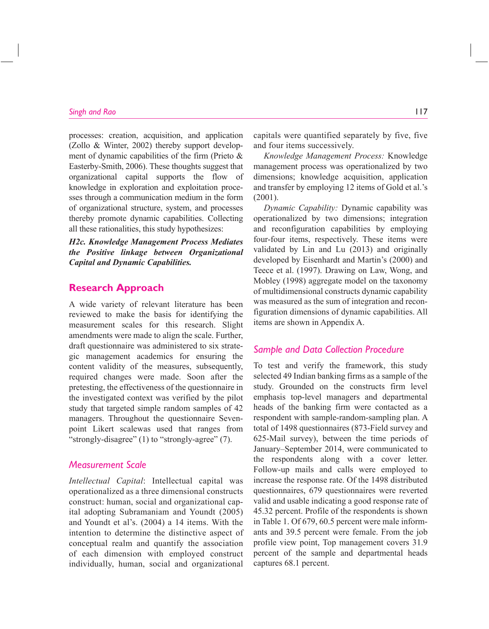processes: creation, acquisition, and application (Zollo & Winter, 2002) thereby support development of dynamic capabilities of the firm (Prieto & Easterby-Smith, 2006). These thoughts suggest that organizational capital supports the flow of knowledge in exploration and exploitation processes through a communication medium in the form of organizational structure, system, and processes thereby promote dynamic capabilities. Collecting all these rationalities, this study hypothesizes:

*H2c. Knowledge Management Process Mediates the Positive linkage between Organizational Capital and Dynamic Capabilities.*

## **Research Approach**

A wide variety of relevant literature has been reviewed to make the basis for identifying the measurement scales for this research. Slight amendments were made to align the scale. Further, draft questionnaire was administered to six strategic management academics for ensuring the content validity of the measures, subsequently, required changes were made. Soon after the pretesting, the effectiveness of the questionnaire in the investigated context was verified by the pilot study that targeted simple random samples of 42 managers. Throughout the questionnaire Sevenpoint Likert scalewas used that ranges from "strongly-disagree" (1) to "strongly-agree" (7).

## *Measurement Scale*

*Intellectual Capital*: Intellectual capital was operationalized as a three dimensional constructs construct: human, social and organizational capital adopting Subramaniam and Youndt (2005) and Youndt et al's. (2004) a 14 items. With the intention to determine the distinctive aspect of conceptual realm and quantify the association of each dimension with employed construct individually, human, social and organizational

capitals were quantified separately by five, five and four items successively.

*Knowledge Management Process:* Knowledge management process was operationalized by two dimensions; knowledge acquisition, application and transfer by employing 12 items of Gold et al.'s (2001).

*Dynamic Capability:* Dynamic capability was operationalized by two dimensions; integration and reconfiguration capabilities by employing four-four items, respectively. These items were validated by Lin and Lu (2013) and originally developed by Eisenhardt and Martin's (2000) and Teece et al. (1997). Drawing on Law, Wong, and Mobley (1998) aggregate model on the taxonomy of multidimensional constructs dynamic capability was measured as the sum of integration and reconfiguration dimensions of dynamic capabilities. All items are shown in Appendix A.

## *Sample and Data Collection Procedure*

To test and verify the framework, this study selected 49 Indian banking firms as a sample of the study. Grounded on the constructs firm level emphasis top-level managers and departmental heads of the banking firm were contacted as a respondent with sample-random-sampling plan. A total of 1498 questionnaires (873-Field survey and 625-Mail survey), between the time periods of January–September 2014, were communicated to the respondents along with a cover letter. Follow-up mails and calls were employed to increase the response rate. Of the 1498 distributed questionnaires, 679 questionnaires were reverted valid and usable indicating a good response rate of 45.32 percent. Profile of the respondents is shown in Table 1. Of 679, 60.5 percent were male informants and 39.5 percent were female. From the job profile view point, Top management covers 31.9 percent of the sample and departmental heads captures 68.1 percent.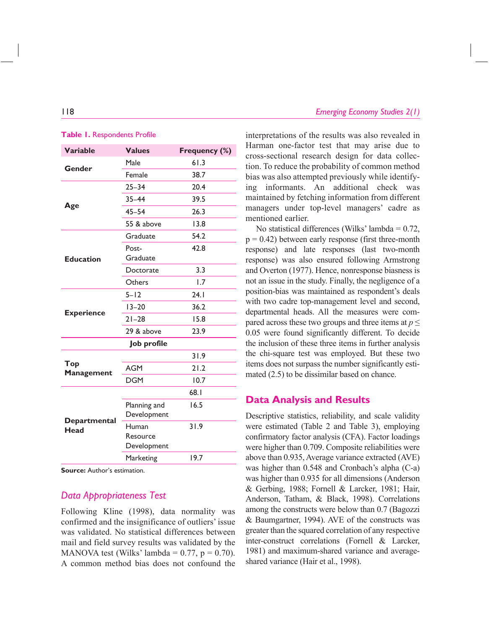#### **Table 1.** Respondents Profile

| <b>Variable</b>             | <b>Values</b>                    | Frequency (%) |
|-----------------------------|----------------------------------|---------------|
|                             | Male                             | 61.3          |
| Gender                      | Female                           | 38.7          |
|                             | $25 - 34$                        | 20.4          |
|                             | $35 - 44$                        | 39.5          |
| Age                         | $45 - 54$                        | 26.3          |
|                             | 55 & above                       | 13.8          |
|                             | Graduate                         | 54.2          |
| <b>Education</b>            | Post-<br>Graduate                | 42.8          |
|                             | Doctorate                        | 3.3           |
|                             | Others                           | 1.7           |
|                             | $5 - 12$                         | 24.1          |
|                             | $13 - 20$                        | 36.2          |
| <b>Experience</b>           | $21 - 28$                        | 15.8          |
|                             | 29 & above                       | 23.9          |
|                             | Job profile                      |               |
|                             |                                  | 31.9          |
| <b>Top</b><br>Management    | <b>AGM</b>                       | 21.2          |
|                             | <b>DGM</b>                       | 10.7          |
|                             |                                  | 68.1          |
|                             | Planning and<br>Development      | 16.5          |
| <b>Departmental</b><br>Head | Human<br>Resource<br>Development | 31.9          |
|                             | Marketing                        | 19.7          |

**Source:** Author's estimation.

## *Data Appropriateness Test*

Following Kline (1998), data normality was confirmed and the insignificance of outliers' issue was validated. No statistical differences between mail and field survey results was validated by the MANOVA test (Wilks' lambda =  $0.77$ ,  $p = 0.70$ ). A common method bias does not confound the interpretations of the results was also revealed in Harman one-factor test that may arise due to cross-sectional research design for data collection. To reduce the probability of common method bias was also attempted previously while identifying informants. An additional check was maintained by fetching information from different managers under top-level managers' cadre as mentioned earlier.

No statistical differences (Wilks' lambda =  $0.72$ ,  $p = 0.42$ ) between early response (first three-month response) and late responses (last two-month response) was also ensured following Armstrong and Overton (1977). Hence, nonresponse biasness is not an issue in the study. Finally, the negligence of a position-bias was maintained as respondent's deals with two cadre top-management level and second, departmental heads. All the measures were compared across these two groups and three items at *p* ≤ 0.05 were found significantly different. To decide the inclusion of these three items in further analysis the chi-square test was employed. But these two items does not surpass the number significantly estimated (2.5) to be dissimilar based on chance.

## **Data Analysis and Results**

Descriptive statistics, reliability, and scale validity were estimated (Table 2 and Table 3), employing confirmatory factor analysis (CFA). Factor loadings were higher than 0.709. Composite reliabilities were above than 0.935, Average variance extracted (AVE) was higher than 0.548 and Cronbach's alpha (C-a) was higher than 0.935 for all dimensions (Anderson & Gerbing, 1988; Fornell & Larcker, 1981; Hair, Anderson, Tatham, & Black, 1998). Correlations among the constructs were below than 0.7 (Bagozzi & Baumgartner, 1994). AVE of the constructs was greater than the squared correlation of any respective inter-construct correlations (Fornell & Larcker, 1981) and maximum-shared variance and averageshared variance (Hair et al., 1998).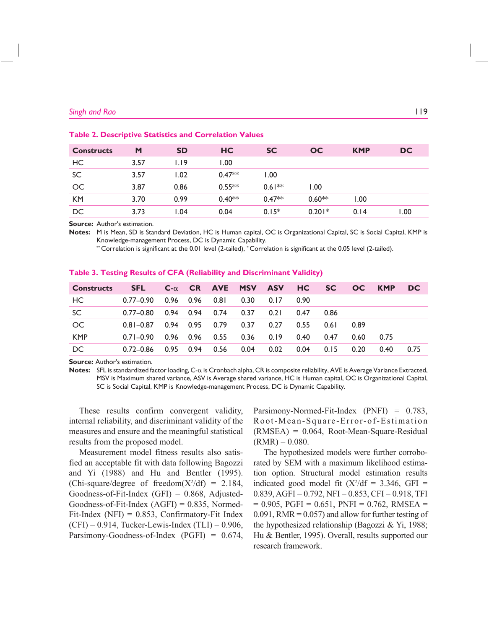| M    | <b>SD</b> | <b>HC</b> | <b>SC</b> | <b>OC</b> | <b>KMP</b> | <b>DC</b> |
|------|-----------|-----------|-----------|-----------|------------|-----------|
| 3.57 | 1.19      | 1.00      |           |           |            |           |
| 3.57 | 1.02      | $0.47**$  | 1.00      |           |            |           |
| 3.87 | 0.86      | $0.55***$ | $0.61**$  | 1.00      |            |           |
| 3.70 | 0.99      | $0.40**$  | $0.47**$  | $0.60**$  | 1.00       |           |
| 3.73 | 1.04      | 0.04      | $0.15*$   | $0.201*$  | 0.14       | 1.00      |
|      |           |           |           |           |            |           |

### **Table 2. Descriptive Statistics and Correlation Values**

**Source:** Author's estimation.

**Notes:** M is Mean, SD is Standard Deviation, HC is Human capital, OC is Organizational Capital, SC is Social Capital, KMP is Knowledge-management Process, DC is Dynamic Capability.

\*\* Correlation is significant at the 0.01 level (2-tailed), \* Correlation is significant at the 0.05 level (2-tailed).

| <b>Constructs</b> | <b>SFL</b>    |      |           |      | $C-\alpha$ CR AVE MSV ASV |      | <b>HC</b> | SC.  | OC.  | <b>KMP</b> | DC.  |
|-------------------|---------------|------|-----------|------|---------------------------|------|-----------|------|------|------------|------|
| HC                | $0.77 - 0.90$ | 0.96 | 0.96      | 0.81 | 0.30                      | 0.17 | 0.90      |      |      |            |      |
| <b>SC</b>         | $0.77 - 0.80$ | 0.94 | 0.94      | 0.74 | 0.37                      | 0.21 | 0.47      | 0.86 |      |            |      |
| OC.               | $0.81 - 0.87$ | 0.94 | 0.95 0.79 |      | 0.37                      | 0.27 | 0.55      | 0.61 | 0.89 |            |      |
| <b>KMP</b>        | $0.71 - 0.90$ | 0.96 | 0.96      | 0.55 | 0.36                      | 0.19 | 0.40      | 0.47 | 0.60 | 0.75       |      |
| DC.               | $0.72 - 0.86$ | 0.95 | 0.94      | 0.56 | 0.04                      | 0.02 | 0.04      | 0.15 | 0.20 | 0.40       | 0.75 |

#### **Table 3. Testing Results of CFA (Reliability and Discriminant Validity)**

**Source:** Author's estimation.

**Notes:** SFL is standardized factor loading, C-α is Cronbach alpha, CR is composite reliability, AVE is Average Variance Extracted, MSV is Maximum shared variance, ASV is Average shared variance, HC is Human capital, OC is Organizational Capital, SC is Social Capital, KMP is Knowledge-management Process, DC is Dynamic Capability.

These results confirm convergent validity, internal reliability, and discriminant validity of the measures and ensure and the meaningful statistical results from the proposed model.

Measurement model fitness results also satisfied an acceptable fit with data following Bagozzi and Yi (1988) and Hu and Bentler (1995). (Chi-square/degree of freedom $(X^2/df) = 2.184$ , Goodness-of-Fit-Index  $(GFI) = 0.868$ , Adjusted-Goodness-of-Fit-Index (AGFI) = 0.835, Normed-Fit-Index (NFI) =  $0.853$ , Confirmatory-Fit Index  $(CFI) = 0.914$ , Tucker-Lewis-Index  $(TLI) = 0.906$ , Parsimony-Goodness-of-Index (PGFI) = 0.674,

Parsimony-Normed-Fit-Index (PNFI) = 0.783, Root-Mean-Square-Error-of-Estimation (RMSEA) = 0.064, Root-Mean-Square-Residual  $(RMR) = 0.080$ .

The hypothesized models were further corroborated by SEM with a maximum likelihood estimation option. Structural model estimation results indicated good model fit  $(X^2/df = 3.346, GFI =$  $0.839, AGFI = 0.792, NFI = 0.853, CFI = 0.918, TFI$  $= 0.905$ , PGFI = 0.651, PNFI = 0.762, RMSEA =  $0.091$ , RMR =  $0.057$ ) and allow for further testing of the hypothesized relationship (Bagozzi & Yi, 1988; Hu & Bentler, 1995). Overall, results supported our research framework.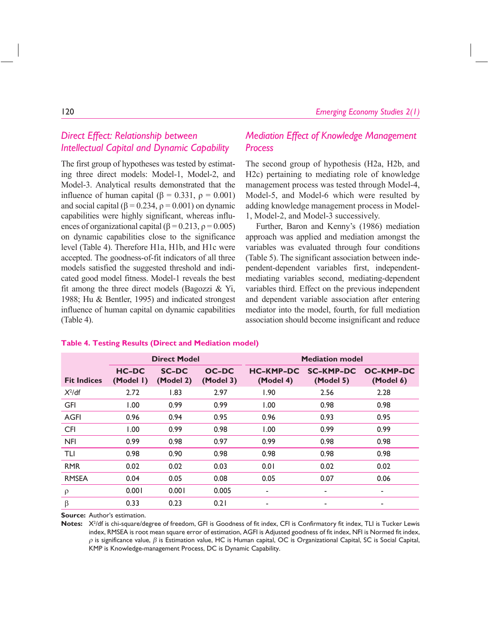# *Direct Effect: Relationship between Intellectual Capital and Dynamic Capability*

The first group of hypotheses was tested by estimating three direct models: Model-1, Model-2, and Model-3. Analytical results demonstrated that the influence of human capital (β = 0.331, ρ = 0.001) and social capital ( $\beta$  = 0.234,  $\rho$  = 0.001) on dynamic capabilities were highly significant, whereas influences of organizational capital ( $\beta$  = 0.213,  $\rho$  = 0.005) on dynamic capabilities close to the significance level (Table 4). Therefore H1a, H1b, and H1c were accepted. The goodness-of-fit indicators of all three models satisfied the suggested threshold and indicated good model fitness. Model-1 reveals the best fit among the three direct models (Bagozzi  $&$  Yi, 1988; Hu & Bentler, 1995) and indicated strongest influence of human capital on dynamic capabilities (Table 4).

# *Mediation Effect of Knowledge Management Process*

The second group of hypothesis (H2a, H2b, and H2c) pertaining to mediating role of knowledge management process was tested through Model-4, Model-5, and Model-6 which were resulted by adding knowledge management process in Model-1, Model-2, and Model-3 successively.

Further, Baron and Kenny's (1986) mediation approach was applied and mediation amongst the variables was evaluated through four conditions (Table 5). The significant association between independent-dependent variables first, independentmediating variables second, mediating-dependent variables third. Effect on the previous independent and dependent variable association after entering mediator into the model, fourth, for full mediation association should become insignificant and reduce

|                    |                           | <b>Direct Model</b>       |                           | <b>Mediation model</b>        |                               |                               |  |  |
|--------------------|---------------------------|---------------------------|---------------------------|-------------------------------|-------------------------------|-------------------------------|--|--|
| <b>Fit Indices</b> | <b>HC-DC</b><br>(Model I) | <b>SC-DC</b><br>(Model 2) | <b>OC-DC</b><br>(Model 3) | <b>HC-KMP-DC</b><br>(Model 4) | <b>SC-KMP-DC</b><br>(Model 5) | <b>OC-KMP-DC</b><br>(Model 6) |  |  |
| $X^2/df$           | 2.72                      | 1.83                      | 2.97                      | 1.90                          | 2.56                          | 2.28                          |  |  |
| GFI                | 1.00                      | 0.99                      | 0.99                      | 1.00                          | 0.98                          | 0.98                          |  |  |
| AGFI               | 0.96                      | 0.94                      | 0.95                      | 0.96                          | 0.93                          | 0.95                          |  |  |
| <b>CFI</b>         | 1.00                      | 0.99                      | 0.98                      | 1.00                          | 0.99                          | 0.99                          |  |  |
| <b>NFI</b>         | 0.99                      | 0.98                      | 0.97                      | 0.99                          | 0.98                          | 0.98                          |  |  |
| <b>TLI</b>         | 0.98                      | 0.90                      | 0.98                      | 0.98                          | 0.98                          | 0.98                          |  |  |
| <b>RMR</b>         | 0.02                      | 0.02                      | 0.03                      | 0.01                          | 0.02                          | 0.02                          |  |  |
| <b>RMSEA</b>       | 0.04                      | 0.05                      | 0.08                      | 0.05                          | 0.07                          | 0.06                          |  |  |
| $\rho$             | 0.001                     | 0.001                     | 0.005                     | ٠                             | ٠                             | ٠                             |  |  |
| $\beta$            | 0.33                      | 0.23                      | 0.21                      | ٠                             | ٠                             | ٠                             |  |  |

#### **Table 4. Testing Results (Direct and Mediation model)**

**Source:** Author's estimation.

**Notes:** X2 /df is chi-square/degree of freedom, GFI is Goodness of fit index, CFI is Confirmatory fit index, TLI is Tucker Lewis index, RMSEA is root mean square error of estimation, AGFI is Adjusted goodness of fit index, NFI is Normed fit index,  $ρ$  is significance value,  $β$  is Estimation value, HC is Human capital, OC is Organizational Capital, SC is Social Capital, KMP is Knowledge-management Process, DC is Dynamic Capability.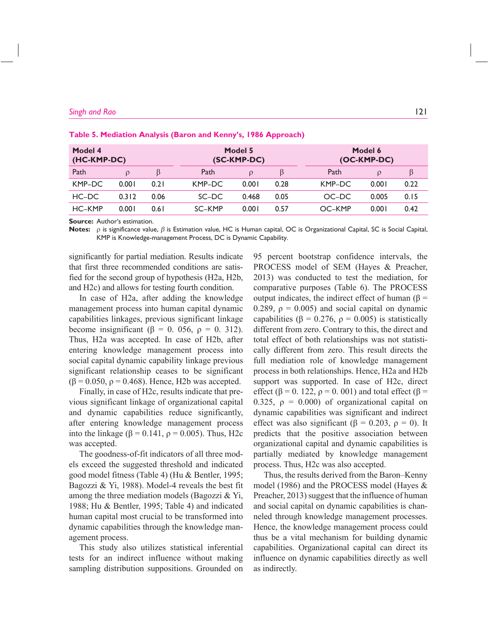| Model 4<br>(HC-KMP-DC) |          |      | Model 5<br>(SC-KMP-DC) |          |      | Model 6<br>(OC-KMP-DC) |          |         |
|------------------------|----------|------|------------------------|----------|------|------------------------|----------|---------|
| Path                   | $\Omega$ |      | Path                   | $\Omega$ | B    | Path                   | $\Omega$ | $\beta$ |
| KMP-DC                 | 0.001    | 0.21 | KMP-DC                 | 0.001    | 0.28 | KMP-DC                 | 0.001    | 0.22    |
| $HC-DC$                | 0.312    | 0.06 | SC-DC                  | 0.468    | 0.05 | $OC-DC$                | 0.005    | 0.15    |
| HC-KMP                 | 0.001    | 0.61 | SC-KMP                 | 0.001    | 0.57 | OC-KMP                 | 0.001    | 0.42    |

**Table 5. Mediation Analysis (Baron and Kenny's, 1986 Approach)**

**Source:** Author's estimation.

**Notes:** ρ is significance value, β is Estimation value, HC is Human capital, OC is Organizational Capital, SC is Social Capital, KMP is Knowledge-management Process, DC is Dynamic Capability.

significantly for partial mediation. Results indicate that first three recommended conditions are satisfied for the second group of hypothesis (H2a, H2b, and H2c) and allows for testing fourth condition.

In case of H2a, after adding the knowledge management process into human capital dynamic capabilities linkages, previous significant linkage become insignificant ( $\beta = 0$ . 056,  $\rho = 0$ . 312). Thus, H2a was accepted. In case of H2b, after entering knowledge management process into social capital dynamic capability linkage previous significant relationship ceases to be significant  $(β = 0.050, ρ = 0.468)$ . Hence, H2b was accepted.

Finally, in case of H2c, results indicate that previous significant linkage of organizational capital and dynamic capabilities reduce significantly, after entering knowledge management process into the linkage (β = 0.141, ρ = 0.005). Thus, H2c was accepted.

The goodness-of-fit indicators of all three models exceed the suggested threshold and indicated good model fitness (Table 4) (Hu & Bentler, 1995; Bagozzi & Yi, 1988). Model-4 reveals the best fit among the three mediation models (Bagozzi & Yi, 1988; Hu & Bentler, 1995; Table 4) and indicated human capital most crucial to be transformed into dynamic capabilities through the knowledge management process.

This study also utilizes statistical inferential tests for an indirect influence without making sampling distribution suppositions. Grounded on

95 percent bootstrap confidence intervals, the PROCESS model of SEM (Hayes & Preacher, 2013) was conducted to test the mediation, for comparative purposes (Table 6). The PROCESS output indicates, the indirect effect of human (β = 0.289,  $\rho = 0.005$ ) and social capital on dynamic capabilities ( $\beta = 0.276$ ,  $\rho = 0.005$ ) is statistically different from zero. Contrary to this, the direct and total effect of both relationships was not statistically different from zero. This result directs the full mediation role of knowledge management process in both relationships. Hence, H2a and H2b support was supported. In case of H2c, direct effect ( $\beta$  = 0. 122,  $\rho$  = 0. 001) and total effect ( $\beta$  = 0.325,  $\rho = 0.000$  of organizational capital on dynamic capabilities was significant and indirect effect was also significant ( $\beta = 0.203$ ,  $\rho = 0$ ). It predicts that the positive association between organizational capital and dynamic capabilities is partially mediated by knowledge management process. Thus, H2c was also accepted.

Thus, the results derived from the Baron–Kenny model (1986) and the PROCESS model (Hayes & Preacher, 2013) suggest that the influence of human and social capital on dynamic capabilities is channeled through knowledge management processes. Hence, the knowledge management process could thus be a vital mechanism for building dynamic capabilities. Organizational capital can direct its influence on dynamic capabilities directly as well as indirectly.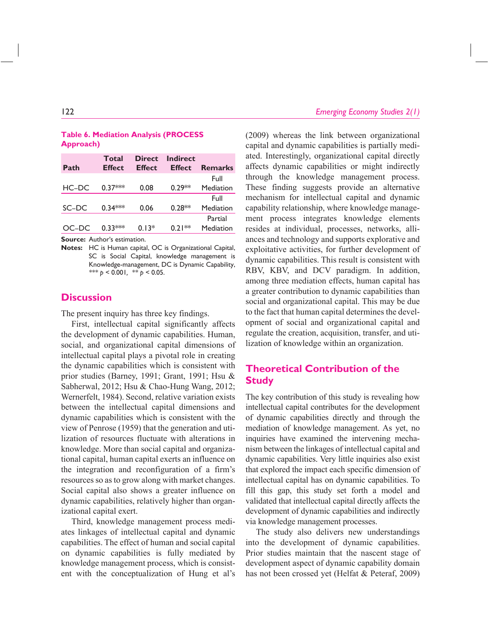## **Table 6. Mediation Analysis (PROCESS Approach)**

| Path  | Total<br><b>Effect</b> | <b>Direct</b><br><b>Effect</b> | Indirect<br><b>Effect</b> | <b>Remarks</b> |
|-------|------------------------|--------------------------------|---------------------------|----------------|
|       |                        |                                |                           | Full           |
| HC-DC | $0.37***$              | 0.08                           | $0.29**$                  | Mediation      |
|       |                        |                                |                           | Full           |
| SC-DC | $0.34***$              | 0.06                           | $0.28**$                  | Mediation      |
|       |                        |                                |                           | Partial        |
| OC-DC | $0.33***$              | $0.13*$                        | $0.21**$                  | Mediation      |
|       |                        |                                |                           |                |

**Source:** Author's estimation.

**Notes:** HC is Human capital, OC is Organizational Capital, SC is Social Capital, knowledge management is Knowledge-management, DC is Dynamic Capability, *\*\*\* p <* 0.001*, \*\* p <* 0.05.

## **Discussion**

The present inquiry has three key findings.

First, intellectual capital significantly affects the development of dynamic capabilities. Human, social, and organizational capital dimensions of intellectual capital plays a pivotal role in creating the dynamic capabilities which is consistent with prior studies (Barney, 1991; Grant, 1991; Hsu & Sabherwal, 2012; Hsu & Chao-Hung Wang, 2012; Wernerfelt, 1984). Second, relative variation exists between the intellectual capital dimensions and dynamic capabilities which is consistent with the view of Penrose (1959) that the generation and utilization of resources fluctuate with alterations in knowledge. More than social capital and organizational capital, human capital exerts an influence on the integration and reconfiguration of a firm's resources so as to grow along with market changes. Social capital also shows a greater influence on dynamic capabilities, relatively higher than organizational capital exert.

Third, knowledge management process mediates linkages of intellectual capital and dynamic capabilities. The effect of human and social capital on dynamic capabilities is fully mediated by knowledge management process, which is consistent with the conceptualization of Hung et al's (2009) whereas the link between organizational capital and dynamic capabilities is partially mediated. Interestingly, organizational capital directly affects dynamic capabilities or might indirectly through the knowledge management process. These finding suggests provide an alternative mechanism for intellectual capital and dynamic capability relationship, where knowledge management process integrates knowledge elements resides at individual, processes, networks, alliances and technology and supports explorative and exploitative activities, for further development of dynamic capabilities. This result is consistent with RBV, KBV, and DCV paradigm. In addition, among three mediation effects, human capital has a greater contribution to dynamic capabilities than social and organizational capital. This may be due to the fact that human capital determines the development of social and organizational capital and regulate the creation, acquisition, transfer, and utilization of knowledge within an organization.

# **Theoretical Contribution of the Study**

The key contribution of this study is revealing how intellectual capital contributes for the development of dynamic capabilities directly and through the mediation of knowledge management. As yet, no inquiries have examined the intervening mechanism between the linkages of intellectual capital and dynamic capabilities. Very little inquiries also exist that explored the impact each specific dimension of intellectual capital has on dynamic capabilities. To fill this gap, this study set forth a model and validated that intellectual capital directly affects the development of dynamic capabilities and indirectly via knowledge management processes.

The study also delivers new understandings into the development of dynamic capabilities. Prior studies maintain that the nascent stage of development aspect of dynamic capability domain has not been crossed yet (Helfat & Peteraf, 2009)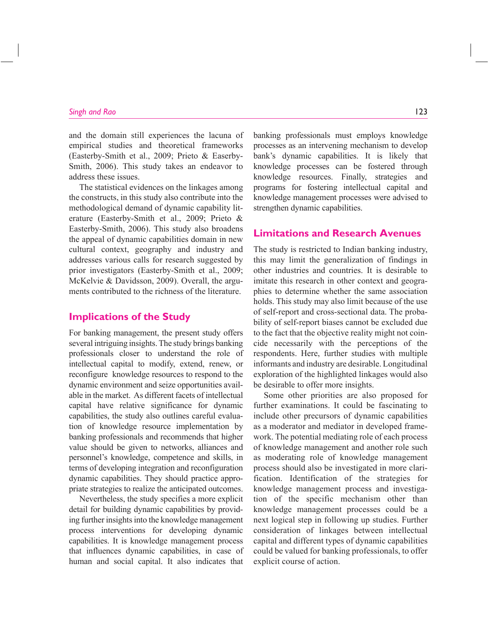and the domain still experiences the lacuna of empirical studies and theoretical frameworks (Easterby-Smith et al., 2009; Prieto & Easerby-Smith, 2006). This study takes an endeavor to address these issues.

The statistical evidences on the linkages among the constructs, in this study also contribute into the methodological demand of dynamic capability literature (Easterby-Smith et al., 2009; Prieto & Easterby-Smith, 2006). This study also broadens the appeal of dynamic capabilities domain in new cultural context, geography and industry and addresses various calls for research suggested by prior investigators (Easterby-Smith et al., 2009; McKelvie & Davidsson, 2009). Overall, the arguments contributed to the richness of the literature.

## **Implications of the Study**

For banking management, the present study offers several intriguing insights. The study brings banking professionals closer to understand the role of intellectual capital to modify, extend, renew, or reconfigure knowledge resources to respond to the dynamic environment and seize opportunities available in the market. As different facets of intellectual capital have relative significance for dynamic capabilities, the study also outlines careful evaluation of knowledge resource implementation by banking professionals and recommends that higher value should be given to networks, alliances and personnel's knowledge, competence and skills, in terms of developing integration and reconfiguration dynamic capabilities. They should practice appropriate strategies to realize the anticipated outcomes.

Nevertheless, the study specifies a more explicit detail for building dynamic capabilities by providing further insights into the knowledge management process interventions for developing dynamic capabilities. It is knowledge management process that influences dynamic capabilities, in case of human and social capital. It also indicates that banking professionals must employs knowledge processes as an intervening mechanism to develop bank's dynamic capabilities. It is likely that knowledge processes can be fostered through knowledge resources. Finally, strategies and programs for fostering intellectual capital and knowledge management processes were advised to strengthen dynamic capabilities.

## **Limitations and Research Avenues**

The study is restricted to Indian banking industry, this may limit the generalization of findings in other industries and countries. It is desirable to imitate this research in other context and geographies to determine whether the same association holds. This study may also limit because of the use of self-report and cross-sectional data. The probability of self-report biases cannot be excluded due to the fact that the objective reality might not coincide necessarily with the perceptions of the respondents. Here, further studies with multiple informants and industry are desirable. Longitudinal exploration of the highlighted linkages would also be desirable to offer more insights.

Some other priorities are also proposed for further examinations. It could be fascinating to include other precursors of dynamic capabilities as a moderator and mediator in developed framework. The potential mediating role of each process of knowledge management and another role such as moderating role of knowledge management process should also be investigated in more clarification. Identification of the strategies for knowledge management process and investigation of the specific mechanism other than knowledge management processes could be a next logical step in following up studies. Further consideration of linkages between intellectual capital and different types of dynamic capabilities could be valued for banking professionals, to offer explicit course of action.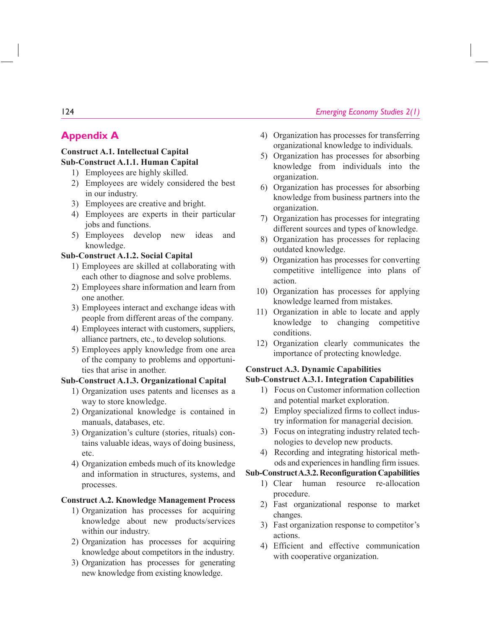# **Appendix A**

### **Construct A.1. Intellectual Capital Sub-Construct A.1.1. Human Capital**

- 1) Employees are highly skilled.
- 2) Employees are widely considered the best in our industry.
- 3) Employees are creative and bright.
- 4) Employees are experts in their particular jobs and functions.
- 5) Employees develop new ideas and knowledge.

## **Sub-Construct A.1.2. Social Capital**

- 1) Employees are skilled at collaborating with each other to diagnose and solve problems.
- 2) Employees share information and learn from one another.
- 3) Employees interact and exchange ideas with people from different areas of the company.
- 4) Employees interact with customers, suppliers, alliance partners, etc., to develop solutions.
- 5) Employees apply knowledge from one area of the company to problems and opportunities that arise in another.

### **Sub-Construct A.1.3. Organizational Capital**

- 1) Organization uses patents and licenses as a way to store knowledge.
- 2) Organizational knowledge is contained in manuals, databases, etc.
- 3) Organization's culture (stories, rituals) contains valuable ideas, ways of doing business, etc.
- 4) Organization embeds much of its knowledge and information in structures, systems, and processes.

## **Construct A.2. Knowledge Management Process**

- 1) Organization has processes for acquiring knowledge about new products/services within our industry.
- 2) Organization has processes for acquiring knowledge about competitors in the industry.
- 3) Organization has processes for generating new knowledge from existing knowledge.
- 4) Organization has processes for transferring organizational knowledge to individuals.
- 5) Organization has processes for absorbing knowledge from individuals into the organization.
- 6) Organization has processes for absorbing knowledge from business partners into the organization.
- 7) Organization has processes for integrating different sources and types of knowledge.
- 8) Organization has processes for replacing outdated knowledge.
- 9) Organization has processes for converting competitive intelligence into plans of action.
- 10) Organization has processes for applying knowledge learned from mistakes.
- 11) Organization in able to locate and apply knowledge to changing competitive conditions.
- 12) Organization clearly communicates the importance of protecting knowledge.

## **Construct A.3. Dynamic Capabilities**

## **Sub-Construct A.3.1. Integration Capabilities**

- 1) Focus on Customer information collection and potential market exploration.
- 2) Employ specialized firms to collect industry information for managerial decision.
- 3) Focus on integrating industry related technologies to develop new products.
- 4) Recording and integrating historical methods and experiences in handling firm issues.

### **Sub-Construct A.3.2. Reconfiguration Capabilities**

- 1) Clear human resource re-allocation procedure.
- 2) Fast organizational response to market changes.
- 3) Fast organization response to competitor's actions.
- 4) Efficient and effective communication with cooperative organization.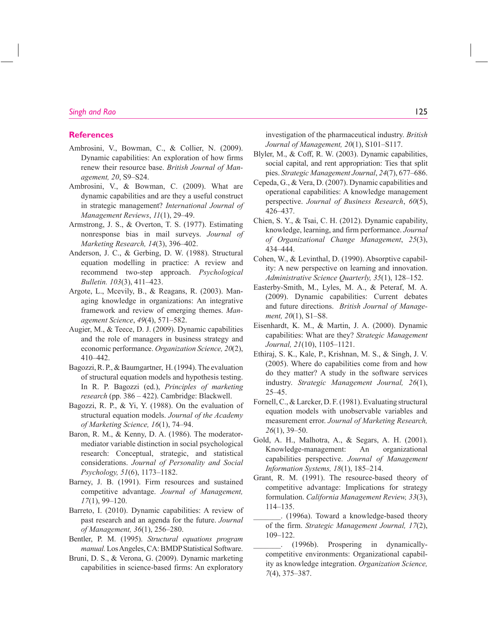#### **References**

- Ambrosini, V., Bowman, C., & Collier, N. (2009). Dynamic capabilities: An exploration of how firms renew their resource base. *British Journal of Management, 20*, S9–S24.
- Ambrosini, V., & Bowman, C. (2009). What are dynamic capabilities and are they a useful construct in strategic management? *International Journal of Management Reviews*, *11*(1), 29–49.
- Armstrong, J. S., & Overton, T. S. (1977). Estimating nonresponse bias in mail surveys. *Journal of Marketing Research, 14*(3), 396–402.
- Anderson, J. C., & Gerbing, D. W. (1988). Structural equation modelling in practice: A review and recommend two-step approach. *Psychological Bulletin. 103*(3), 411–423.
- Argote, L., Mcevily, B., & Reagans, R. (2003). Managing knowledge in organizations: An integrative framework and review of emerging themes. *Management Science*, *49*(4), 571–582.
- Augier, M., & Teece, D. J. (2009). Dynamic capabilities and the role of managers in business strategy and economic performance. *Organization Science, 20*(2), 410–442.
- Bagozzi, R. P., & Baumgartner, H. (1994). The evaluation of structural equation models and hypothesis testing. In R. P. Bagozzi (ed.), *Principles of marketing research* (pp. 386 – 422). Cambridge: Blackwell.
- Bagozzi, R. P., & Yi, Y. (1988). On the evaluation of structural equation models. *Journal of the Academy of Marketing Science, 16*(1), 74–94.
- Baron, R. M., & Kenny, D. A. (1986). The moderatormediator variable distinction in social psychological research: Conceptual, strategic, and statistical considerations. *Journal of Personality and Social Psychology, 51*(6), 1173–1182.
- Barney, J. B. (1991). Firm resources and sustained competitive advantage. *Journal of Management, 17*(1), 99–120.
- Barreto, I. (2010). Dynamic capabilities: A review of past research and an agenda for the future. *Journal of Management, 36*(1), 256–280.
- Bentler, P. M. (1995). *Structural equations program manual.* Los Angeles, CA: BMDP Statistical Software.
- Bruni, D. S., & Verona, G. (2009). Dynamic marketing capabilities in science-based firms: An exploratory

investigation of the pharmaceutical industry. *British Journal of Management, 20*(1), S101–S117.

- Blyler, M., & Coff, R. W. (2003). Dynamic capabilities, social capital, and rent appropriation: Ties that split pies. *Strategic Management Journal*, *24*(7), 677–686.
- Cepeda, G., & Vera, D. (2007). Dynamic capabilities and operational capabilities: A knowledge management perspective. *Journal of Business Research*, *60*(5), 426–437.
- Chien, S. Y., & Tsai, C. H. (2012). Dynamic capability, knowledge, learning, and firm performance. *Journal of Organizational Change Management*, *25*(3), 434–444.
- Cohen, W., & Levinthal, D. (1990). Absorptive capability: A new perspective on learning and innovation. *Administrative Science Quarterly, 35*(1), 128–152.
- Easterby-Smith, M., Lyles, M. A., & Peteraf, M. A. (2009). Dynamic capabilities: Current debates and future directions. *British Journal of Management, 20*(1), S1–S8.
- Eisenhardt, K. M., & Martin, J. A. (2000). Dynamic capabilities: What are they? *Strategic Management Journal, 21*(10), 1105–1121.
- Ethiraj, S. K., Kale, P., Krishnan, M. S., & Singh, J. V. (2005). Where do capabilities come from and how do they matter? A study in the software services industry. *Strategic Management Journal, 26*(1), 25–45.
- Fornell, C., & Larcker, D. F. (1981). Evaluating structural equation models with unobservable variables and measurement error. *Journal of Marketing Research, 26*(1), 39–50.
- Gold, A. H., Malhotra, A., & Segars, A. H. (2001). Knowledge-management: An organizational capabilities perspective. *Journal of Management Information Systems, 18*(1), 185–214.
- Grant, R. M. (1991). The resource-based theory of competitive advantage: Implications for strategy formulation. *California Management Review, 33*(3), 114–135.
	- \_\_\_\_\_\_\_. (1996a). Toward a knowledge-based theory of the firm. *Strategic Management Journal, 17*(2), 109–122.
- \_\_\_\_\_\_\_. (1996b). Prospering in dynamicallycompetitive environments: Organizational capability as knowledge integration. *Organization Science, 7*(4), 375–387.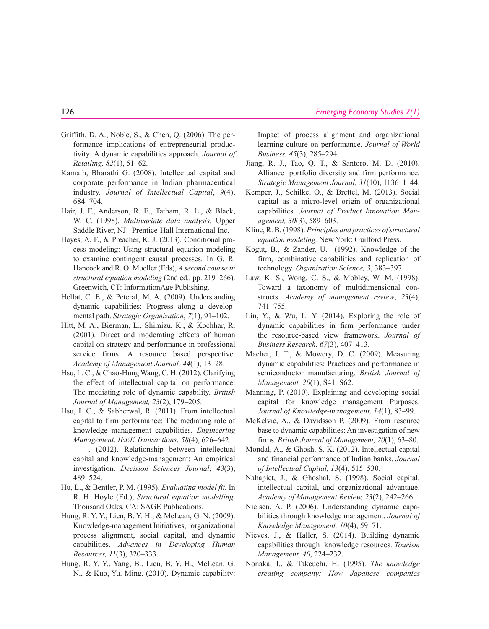- Griffith, D. A., Noble, S., & Chen, Q. (2006). The performance implications of entrepreneurial productivity: A dynamic capabilities approach. *Journal of Retailing, 82*(1), 51–62.
- Kamath, Bharathi G. (2008). Intellectual capital and corporate performance in Indian pharmaceutical industry. *Journal of Intellectual Capital*, *9*(4), 684–704.
- Hair, J. F., Anderson, R. E., Tatham, R. L., & Black, W. C. (1998). *Multivariate data analysis.* Upper Saddle River, NJ: Prentice-Hall International Inc.
- Hayes, A. F., & Preacher, K. J. (2013). Conditional process modeling: Using structural equation modeling to examine contingent causal processes. In G. R. Hancock and R. O. Mueller (Eds), *A second course in structural equation modeling* (2nd ed., pp. 219–266). Greenwich, CT: InformationAge Publishing.
- Helfat, C. E., & Peteraf, M. A. (2009). Understanding dynamic capabilities: Progress along a developmental path. *Strategic Organization*, *7*(1), 91–102.
- Hitt, M. A., Bierman, L., Shimizu, K., & Kochhar, R. (2001). Direct and moderating effects of human capital on strategy and performance in professional service firms: A resource based perspective. *Academy of Management Journal, 44*(1), 13–28.
- Hsu, L. C., & Chao-Hung Wang, C. H. (2012). Clarifying the effect of intellectual capital on performance: The mediating role of dynamic capability. *British Journal of Management, 23*(2), 179–205.
- Hsu, I. C., & Sabherwal, R. (2011). From intellectual capital to firm performance: The mediating role of knowledge management capabilities. *Engineering Management, IEEE Transactions, 58*(4), 626–642.
- \_\_\_\_\_\_\_. (2012). Relationship between intellectual capital and knowledge-management: An empirical investigation. *Decision Sciences Journal*, *43*(3), 489–524.
- Hu, L., & Bentler, P. M. (1995). *Evaluating model fit.* In R. H. Hoyle (Ed.), *Structural equation modelling.* Thousand Oaks, CA: SAGE Publications.
- Hung, R. Y. Y., Lien, B. Y. H., & McLean, G. N. (2009). Knowledge-management Initiatives, organizational process alignment, social capital, and dynamic capabilities. *Advances in Developing Human Resources, 11*(3), 320–333.
- Hung, R. Y. Y., Yang, B., Lien, B. Y. H., McLean, G. N., & Kuo, Yu.-Ming. (2010). Dynamic capability:

Impact of process alignment and organizational learning culture on performance. *Journal of World Business, 45*(3), 285–294.

- Jiang, R. J., Tao, Q. T., & Santoro, M. D. (2010). Alliance portfolio diversity and firm performance*. Strategic Management Journal, 31*(10), 1136–1144.
- Kemper, J., Schilke, O., & Brettel, M. (2013). Social capital as a micro-level origin of organizational capabilities. *Journal of Product Innovation Management, 30*(3), 589–603.
- Kline, R. B. (1998). *Principles and practices of structural equation modeling.* New York: Guilford Press.
- Kogut, B., & Zander, U. (1992). Knowledge of the firm, combinative capabilities and replication of technology. *Organization Science, 3*, 383–397.
- Law, K. S., Wong, C. S., & Mobley, W. M. (1998). Toward a taxonomy of multidimensional constructs. *Academy of management review*, *23*(4), 741–755.
- Lin, Y., & Wu, L. Y. (2014). Exploring the role of dynamic capabilities in firm performance under the resource-based view framework. *Journal of Business Research*, *67*(3), 407–413.
- Macher, J. T., & Mowery, D. C. (2009). Measuring dynamic capabilities: Practices and performance in semiconductor manufacturing. *British Journal of Management, 20*(1), S41–S62.
- Manning, P. (2010). Explaining and developing social capital for knowledge management Purposes. *Journal of Knowledge-management, 14*(1), 83–99.
- McKelvie, A., & Davidsson P. (2009). From resource base to dynamic capabilities: An investigation of new firms. *British Journal of Management, 20*(1), 63–80.
- Mondal, A., & Ghosh, S. K. (2012). Intellectual capital and financial performance of Indian banks. *Journal of Intellectual Capital, 13*(4), 515–530.
- Nahapiet, J., & Ghoshal, S. (1998). Social capital, intellectual capital, and organizational advantage. *Academy of Management Review, 23*(2), 242–266.
- Nielsen, A. P. (2006). Understanding dynamic capabilities through knowledge management. *Journal of Knowledge Management, 10*(4), 59–71.
- Nieves, J., & Haller, S. (2014). Building dynamic capabilities through knowledge resources. *Tourism Management, 40*, 224–232.
- Nonaka, I., & Takeuchi, H. (1995). *The knowledge creating company: How Japanese companies*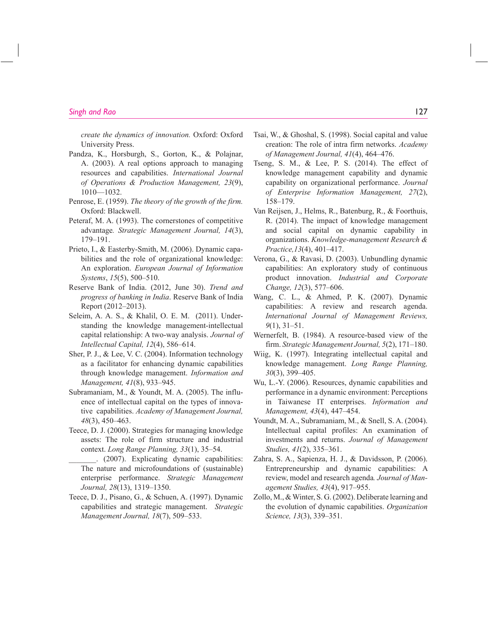*create the dynamics of innovation.* Oxford: Oxford University Press.

- Pandza, K., Horsburgh, S., Gorton, K., & Polajnar, A. (2003). A real options approach to managing resources and capabilities. *International Journal of Operations & Production Management, 23*(9), 1010—1032.
- Penrose, E. (1959). *The theory of the growth of the firm.* Oxford: Blackwell.
- Peteraf, M. A. (1993). The cornerstones of competitive advantage*. Strategic Management Journal, 14*(3), 179–191.
- Prieto, I., & Easterby-Smith, M. (2006). Dynamic capabilities and the role of organizational knowledge: An exploration. *European Journal of Information Systems*, *15*(5), 500–510.
- Reserve Bank of India. (2012, June 30). *Trend and progress of banking in India*. Reserve Bank of India Report (2012–2013).
- Seleim, A. A. S., & Khalil, O. E. M. (2011). Understanding the knowledge management-intellectual capital relationship: A two-way analysis. *Journal of Intellectual Capital, 12*(4), 586–614.
- Sher, P. J., & Lee, V. C. (2004). Information technology as a facilitator for enhancing dynamic capabilities through knowledge management. *Information and Management, 41*(8), 933–945.
- Subramaniam, M., & Youndt, M. A. (2005). The influence of intellectual capital on the types of innovative capabilities. *Academy of Management Journal, 48*(3), 450–463.
- Teece, D. J. (2000). Strategies for managing knowledge assets: The role of firm structure and industrial context. *Long Range Planning, 33*(1), 35–54.
- \_\_\_\_\_\_\_. (2007). Explicating dynamic capabilities: The nature and microfoundations of (sustainable) enterprise performance. *Strategic Management Journal, 28*(13), 1319–1350.
- Teece, D. J., Pisano, G., & Schuen, A. (1997). Dynamic capabilities and strategic management. *Strategic Management Journal, 18*(7), 509–533.
- Tsai, W., & Ghoshal, S. (1998). Social capital and value creation: The role of intra firm networks. *Academy of Management Journal, 41*(4), 464–476.
- Tseng, S. M., & Lee, P. S. (2014). The effect of knowledge management capability and dynamic capability on organizational performance. *Journal of Enterprise Information Management, 27*(2), 158–179.
- Van Reijsen, J., Helms, R., Batenburg, R., & Foorthuis, R. (2014). The impact of knowledge management and social capital on dynamic capability in organizations. *Knowledge-management Research & Practice,13*(4), 401–417.
- Verona, G., & Ravasi, D. (2003). Unbundling dynamic capabilities: An exploratory study of continuous product innovation. *Industrial and Corporate Change, 12*(3), 577–606.
- Wang, C. L., & Ahmed, P. K. (2007). Dynamic capabilities: A review and research agenda. *International Journal of Management Reviews, 9*(1), 31–51.
- Wernerfelt, B. (1984). A resource-based view of the firm. *Strategic Management Journal, 5*(2), 171–180.
- Wiig, K. (1997). Integrating intellectual capital and knowledge management. *Long Range Planning, 30*(3), 399–405.
- Wu, L.-Y. (2006). Resources, dynamic capabilities and performance in a dynamic environment: Perceptions in Taiwanese IT enterprises. *Information and Management, 43*(4), 447–454.
- Youndt, M. A., Subramaniam, M., & Snell, S. A. (2004). Intellectual capital profiles: An examination of investments and returns. *Journal of Management Studies, 41*(2), 335–361.
- Zahra, S. A., Sapienza, H. J., & Davidsson, P. (2006). Entrepreneurship and dynamic capabilities: A review, model and research agenda*. Journal of Management Studies, 43*(4), 917–955.
- Zollo, M., & Winter, S. G. (2002). Deliberate learning and the evolution of dynamic capabilities. *Organization Science, 13*(3), 339–351.